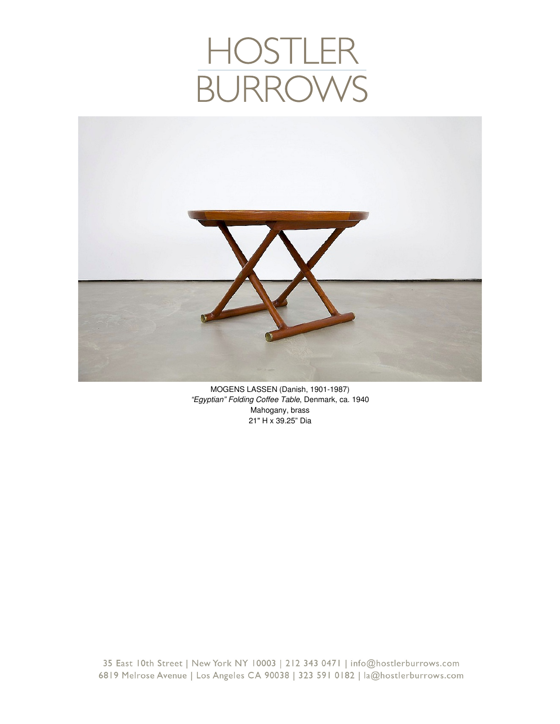## HOSTLER<br>BURROWS



MOGENS LASSEN (Danish, 1901-1987) *"Egyptian" Folding Coffee Table*, Denmark, ca. 1940 Mahogany, brass 21" H x 39.25" Dia

35 East 10th Street | New York NY 10003 | 212 343 0471 | info@hostlerburrows.com 6819 Melrose Avenue | Los Angeles CA 90038 | 323 591 0182 | la@hostlerburrows.com